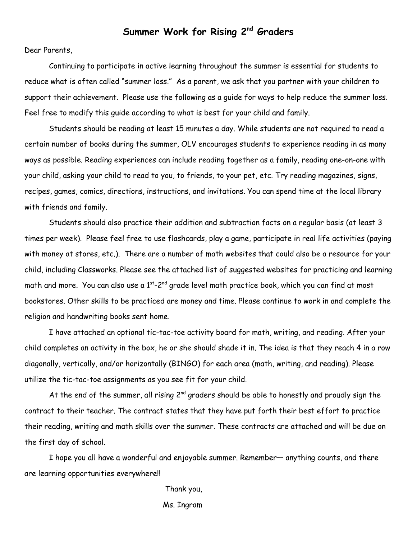## **Summer Work for Rising 2 nd Graders**

Dear Parents,

Continuing to participate in active learning throughout the summer is essential for students to reduce what is often called "summer loss." As a parent, we ask that you partner with your children to support their achievement. Please use the following as a guide for ways to help reduce the summer loss. Feel free to modify this guide according to what is best for your child and family.

Students should be reading at least 15 minutes a day. While students are not required to read a certain number of books during the summer, OLV encourages students to experience reading in as many ways as possible. Reading experiences can include reading together as a family, reading one-on-one with your child, asking your child to read to you, to friends, to your pet, etc. Try reading magazines, signs, recipes, games, comics, directions, instructions, and invitations. You can spend time at the local library with friends and family.

Students should also practice their addition and subtraction facts on a regular basis (at least 3 times per week). Please feel free to use flashcards, play a game, participate in real life activities (paying with money at stores, etc.). There are a number of math websites that could also be a resource for your child, including Classworks. Please see the attached list of suggested websites for practicing and learning math and more. You can also use a  $1^\mathrm{st}$ -2nd grade level math practice book, which you can find at most bookstores. Other skills to be practiced are money and time. Please continue to work in and complete the religion and handwriting books sent home.

I have attached an optional tic-tac-toe activity board for math, writing, and reading. After your child completes an activity in the box, he or she should shade it in. The idea is that they reach 4 in a row diagonally, vertically, and/or horizontally (BINGO) for each area (math, writing, and reading). Please utilize the tic-tac-toe assignments as you see fit for your child.

At the end of the summer, all rising  $2^{nd}$  graders should be able to honestly and proudly sign the contract to their teacher. The contract states that they have put forth their best effort to practice their reading, writing and math skills over the summer. These contracts are attached and will be due on the first day of school.

I hope you all have a wonderful and enjoyable summer. Remember— anything counts, and there are learning opportunities everywhere!!

> Thank you, Ms. Ingram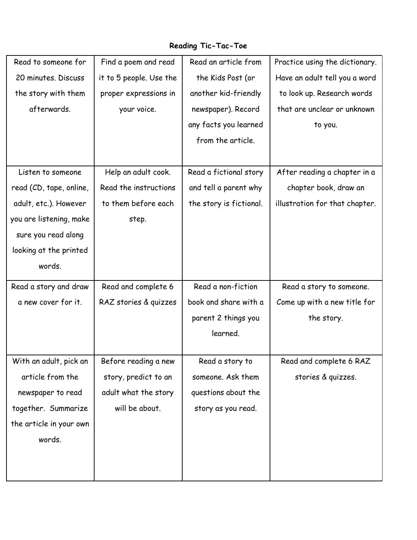## **Reading Tic-Tac-Toe**

| Read to someone for     | Find a poem and read    | Read an article from    | Practice using the dictionary. |
|-------------------------|-------------------------|-------------------------|--------------------------------|
| 20 minutes. Discuss     | it to 5 people. Use the | the Kids Post (or       | Have an adult tell you a word  |
| the story with them     | proper expressions in   | another kid-friendly    | to look up. Research words     |
| afterwards.             | your voice.             | newspaper). Record      | that are unclear or unknown    |
|                         |                         | any facts you learned   | to you.                        |
|                         |                         | from the article.       |                                |
|                         |                         |                         |                                |
| Listen to someone       | Help an adult cook.     | Read a fictional story  | After reading a chapter in a   |
| read (CD, tape, online, | Read the instructions   | and tell a parent why   | chapter book, draw an          |
| adult, etc.). However   | to them before each     | the story is fictional. | illustration for that chapter. |
| you are listening, make | step.                   |                         |                                |
| sure you read along     |                         |                         |                                |
| looking at the printed  |                         |                         |                                |
| words.                  |                         |                         |                                |
| Read a story and draw   | Read and complete 6     | Read a non-fiction      | Read a story to someone.       |
| a new cover for it.     | RAZ stories & quizzes   | book and share with a   | Come up with a new title for   |
|                         |                         | parent 2 things you     | the story.                     |
|                         |                         | learned.                |                                |
|                         |                         |                         |                                |
| With an adult, pick an  | Before reading a new    | Read a story to         | Read and complete 6 RAZ        |
| article from the        | story, predict to an    | someone. Ask them       | stories & quizzes.             |
| newspaper to read       | adult what the story    | questions about the     |                                |
| together. Summarize     | will be about.          | story as you read.      |                                |
| the article in your own |                         |                         |                                |
| words.                  |                         |                         |                                |
|                         |                         |                         |                                |
|                         |                         |                         |                                |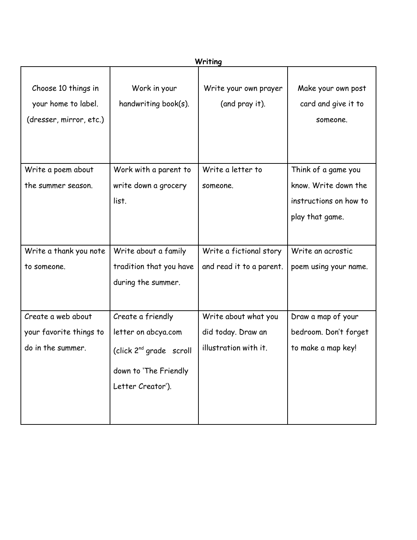| Writing                                                               |                                                                            |                                         |                                                                   |  |  |  |
|-----------------------------------------------------------------------|----------------------------------------------------------------------------|-----------------------------------------|-------------------------------------------------------------------|--|--|--|
| Choose 10 things in<br>your home to label.<br>(dresser, mirror, etc.) | Work in your<br>handwriting book(s).                                       | Write your own prayer<br>(and pray it). | Make your own post<br>card and give it to<br>someone.             |  |  |  |
| Write a poem about                                                    | Work with a parent to                                                      | Write a letter to                       | Think of a game you                                               |  |  |  |
| the summer season.                                                    | write down a grocery<br>list.                                              | someone.                                | know. Write down the<br>instructions on how to<br>play that game. |  |  |  |
| Write a thank you note                                                | Write about a family                                                       | Write a fictional story                 | Write an acrostic                                                 |  |  |  |
| to someone.                                                           | tradition that you have<br>during the summer.                              | and read it to a parent.                | poem using your name.                                             |  |  |  |
| Create a web about                                                    | Create a friendly                                                          | Write about what you                    | Draw a map of your                                                |  |  |  |
| your favorite things to                                               | letter on abcya.com                                                        | did today. Draw an                      | bedroom. Don't forget                                             |  |  |  |
| do in the summer.                                                     | (click $2^{nd}$ grade scroll<br>down to 'The Friendly<br>Letter Creator'). | illustration with it.                   | to make a map key!                                                |  |  |  |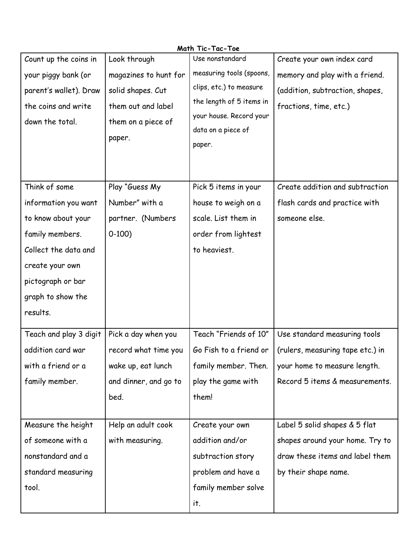| Math Tic-Tac-Toe       |                       |                                               |                                                                                            |  |  |  |  |
|------------------------|-----------------------|-----------------------------------------------|--------------------------------------------------------------------------------------------|--|--|--|--|
| Count up the coins in  | Look through          | Use nonstandard                               | Create your own index card                                                                 |  |  |  |  |
| your piggy bank (or    | magazines to hunt for | measuring tools (spoons,                      | memory and play with a friend.                                                             |  |  |  |  |
| parent's wallet). Draw | solid shapes. Cut     | clips, etc.) to measure                       | (addition, subtraction, shapes,                                                            |  |  |  |  |
| the coins and write    | them out and label    | the length of 5 items in                      | fractions, time, etc.)                                                                     |  |  |  |  |
| down the total.        | them on a piece of    | your house. Record your<br>data on a piece of |                                                                                            |  |  |  |  |
|                        | paper.                | paper.                                        |                                                                                            |  |  |  |  |
|                        |                       |                                               |                                                                                            |  |  |  |  |
|                        |                       |                                               |                                                                                            |  |  |  |  |
| Think of some          | Play "Guess My        | Pick 5 items in your                          | Create addition and subtraction                                                            |  |  |  |  |
| information you want   | Number" with a        | house to weigh on a                           | flash cards and practice with                                                              |  |  |  |  |
| to know about your     | partner. (Numbers     | scale. List them in                           | someone else.                                                                              |  |  |  |  |
| family members.        | $0-100$               | order from lightest                           |                                                                                            |  |  |  |  |
| Collect the data and   |                       | to heaviest.                                  |                                                                                            |  |  |  |  |
| create your own        |                       |                                               |                                                                                            |  |  |  |  |
| pictograph or bar      |                       |                                               |                                                                                            |  |  |  |  |
| graph to show the      |                       |                                               |                                                                                            |  |  |  |  |
| results.               |                       |                                               |                                                                                            |  |  |  |  |
| Teach and play 3 digit | Pick a day when you   | Teach "Friends of 10"                         | Use standard measuring tools                                                               |  |  |  |  |
| addition card war      |                       |                                               | record what time you $\mid$ Go Fish to a friend or $\mid$ (rulers, measuring tape etc.) in |  |  |  |  |
| with a friend or a     | wake up, eat lunch    | family member. Then.                          | your home to measure length.                                                               |  |  |  |  |
| family member.         | and dinner, and go to | play the game with                            | Record 5 items & measurements.                                                             |  |  |  |  |
|                        | bed.                  | them!                                         |                                                                                            |  |  |  |  |
|                        |                       |                                               |                                                                                            |  |  |  |  |
| Measure the height     | Help an adult cook    | Create your own                               | Label 5 solid shapes & 5 flat                                                              |  |  |  |  |
| of someone with a      | with measuring.       | addition and/or                               | shapes around your home. Try to                                                            |  |  |  |  |
| nonstandard and a      |                       | subtraction story                             | draw these items and label them                                                            |  |  |  |  |
| standard measuring     |                       | problem and have a                            | by their shape name.                                                                       |  |  |  |  |
| tool.                  |                       | family member solve                           |                                                                                            |  |  |  |  |
|                        |                       | it.                                           |                                                                                            |  |  |  |  |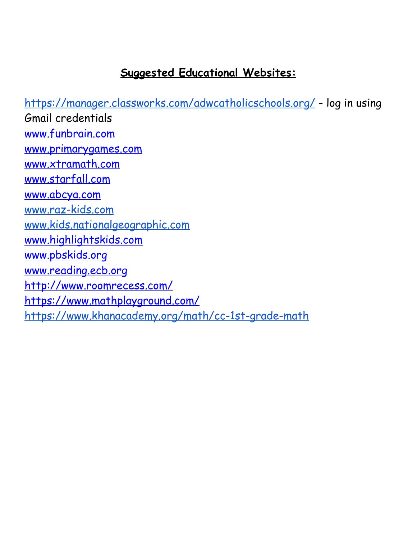## **Suggested Educational Websites:**

<https://manager.classworks.com/adwcatholicschools.org/> - log in using Gmail credentials [www.funbrain.com](http://www.funbrain.com) [www.primarygames.com](http://www.primarygames.com) [www.xtramath.com](http://www.xtramath.com) [www.starfall.com](http://www.starfall.com) [www.abcya.com](http://www.abcya.com) [www.raz-kids.com](http://www.raz-kids.com) [www.kids.nationalgeographic.com](http://www.kids.nationalgeographic.com) [www.highlightskids.com](http://www.highlightskids.com) [www.pbskids.org](http://www.pbskids.org) [www.reading.ecb.org](http://www.reading.ecb.org) <http://www.roomrecess.com/> <https://www.mathplayground.com/> <https://www.khanacademy.org/math/cc-1st-grade-math>